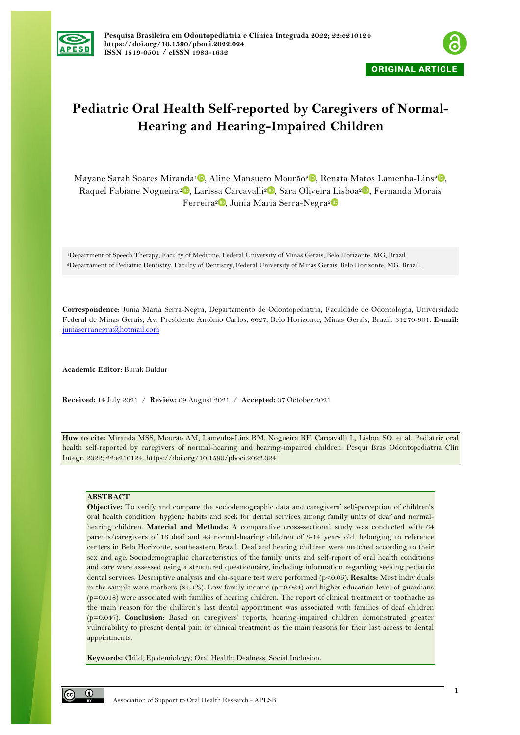



# **Pediatric Oral Health Self-reported by Caregivers of Normal-Hearing and Hearing-Impaired Children**

Mayane Sarah Soares Miranda<sup>1</sup> [,](https://orcid.org/0000-0001-5375-1877) Aline Mansueto Mourão<sup>[2](https://orcid.org/0000-0002-2968-6849) ,</sup> Renata Matos Lamenha-Lins<sup>2 , D</sup>, Raquel Fabiane Nogueira<sup>[2](https://orcid.org/0000-0002-8934-6563)</sup><sup>0</sup>[,](https://orcid.org/0000-0002-7785-9927) Larissa Carcavalli<sup>2</sup><sup>0</sup>, Sara Oliveira Lisboa<sup>2</sup><sup>0</sup>, Fernanda Morais Ferreira<sup>[2](https://orcid.org/0000-0001-9400-1167)</sup> , Junia Maria Serra-Negra<sup>2</sup>

1Department of Speech Therapy, Faculty of Medicine, Federal University of Minas Gerais, Belo Horizonte, MG, Brazil. 2Departament of Pediatric Dentistry, Faculty of Dentistry, Federal University of Minas Gerais, Belo Horizonte, MG, Brazil.

**Correspondence:** Junia Maria Serra-Negra, Departamento de Odontopediatria, Faculdade de Odontologia, Universidade Federal de Minas Gerais, Av. Presidente Antônio Carlos, 6627, Belo Horizonte, Minas Gerais, Brazil. 31270-901. **E-mail:** juniaserranegra@hotmail.com

**Academic Editor:** Burak Buldur

**Received:** 14 July 2021 / **Review:** 09 August 2021 / **Accepted:** 07 October 2021

**How to cite:** Miranda MSS, Mourão AM, Lamenha-Lins RM, Nogueira RF, Carcavalli L, Lisboa SO, et al. Pediatric oral health self-reported by caregivers of normal-hearing and hearing-impaired children. Pesqui Bras Odontopediatria Clín Integr. 2022; 22:e210124. https://doi.org/10.1590/pboci.2022.024

# **ABSTRACT**

**Objective:** To verify and compare the sociodemographic data and caregivers' self-perception of children's oral health condition, hygiene habits and seek for dental services among family units of deaf and normalhearing children. **Material and Methods:** A comparative cross-sectional study was conducted with 64 parents/caregivers of 16 deaf and 48 normal-hearing children of 3-14 years old, belonging to reference centers in Belo Horizonte, southeastern Brazil. Deaf and hearing children were matched according to their sex and age. Sociodemographic characteristics of the family units and self-report of oral health conditions and care were assessed using a structured questionnaire, including information regarding seeking pediatric dental services. Descriptive analysis and chi-square test were performed (p<0.05). **Results:** Most individuals in the sample were mothers (84.4%). Low family income (p=0.024) and higher education level of guardians (p=0.018) were associated with families of hearing children. The report of clinical treatment or toothache as the main reason for the children's last dental appointment was associated with families of deaf children (p=0.047). **Conclusion:** Based on caregivers' reports, hearing-impaired children demonstrated greater vulnerability to present dental pain or clinical treatment as the main reasons for their last access to dental appointments.

**Keywords:** Child; Epidemiology; Oral Health; Deafness; Social Inclusion.

 $\odot$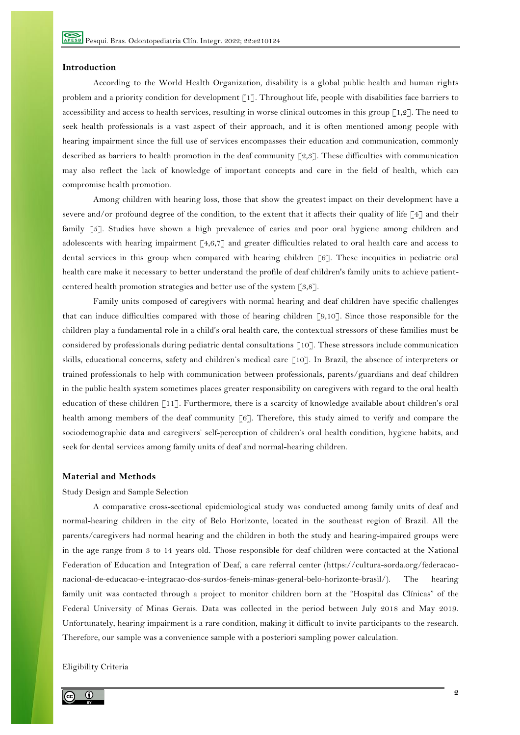# **Introduction**

According to the World Health Organization, disability is a global public health and human rights problem and a priority condition for development [1]. Throughout life, people with disabilities face barriers to accessibility and access to health services, resulting in worse clinical outcomes in this group  $\lceil 1,2 \rceil$ . The need to seek health professionals is a vast aspect of their approach, and it is often mentioned among people with hearing impairment since the full use of services encompasses their education and communication, commonly described as barriers to health promotion in the deaf community [2,3]. These difficulties with communication may also reflect the lack of knowledge of important concepts and care in the field of health, which can compromise health promotion.

Among children with hearing loss, those that show the greatest impact on their development have a severe and/or profound degree of the condition, to the extent that it affects their quality of life [4] and their family [5]. Studies have shown a high prevalence of caries and poor oral hygiene among children and adolescents with hearing impairment [4,6,7] and greater difficulties related to oral health care and access to dental services in this group when compared with hearing children [6]. These inequities in pediatric oral health care make it necessary to better understand the profile of deaf children's family units to achieve patientcentered health promotion strategies and better use of the system [3,8].

Family units composed of caregivers with normal hearing and deaf children have specific challenges that can induce difficulties compared with those of hearing children [9,10]. Since those responsible for the children play a fundamental role in a child's oral health care, the contextual stressors of these families must be considered by professionals during pediatric dental consultations [10]. These stressors include communication skills, educational concerns, safety and children's medical care [10]. In Brazil, the absence of interpreters or trained professionals to help with communication between professionals, parents/guardians and deaf children in the public health system sometimes places greater responsibility on caregivers with regard to the oral health education of these children [11]. Furthermore, there is a scarcity of knowledge available about children's oral health among members of the deaf community [6]. Therefore, this study aimed to verify and compare the sociodemographic data and caregivers' self-perception of children's oral health condition, hygiene habits, and seek for dental services among family units of deaf and normal-hearing children.

### **Material and Methods**

Study Design and Sample Selection

A comparative cross-sectional epidemiological study was conducted among family units of deaf and normal-hearing children in the city of Belo Horizonte, located in the southeast region of Brazil. All the parents/caregivers had normal hearing and the children in both the study and hearing-impaired groups were in the age range from 3 to 14 years old. Those responsible for deaf children were contacted at the National Federation of Education and Integration of Deaf, a care referral center (https://cultura-sorda.org/federacaonacional-de-educacao-e-integracao-dos-surdos-feneis-minas-general-belo-horizonte-brasil/). The hearing family unit was contacted through a project to monitor children born at the "Hospital das Clínicas" of the Federal University of Minas Gerais. Data was collected in the period between July 2018 and May 2019. Unfortunately, hearing impairment is a rare condition, making it difficult to invite participants to the research. Therefore, our sample was a convenience sample with a posteriori sampling power calculation.

Eligibility Criteria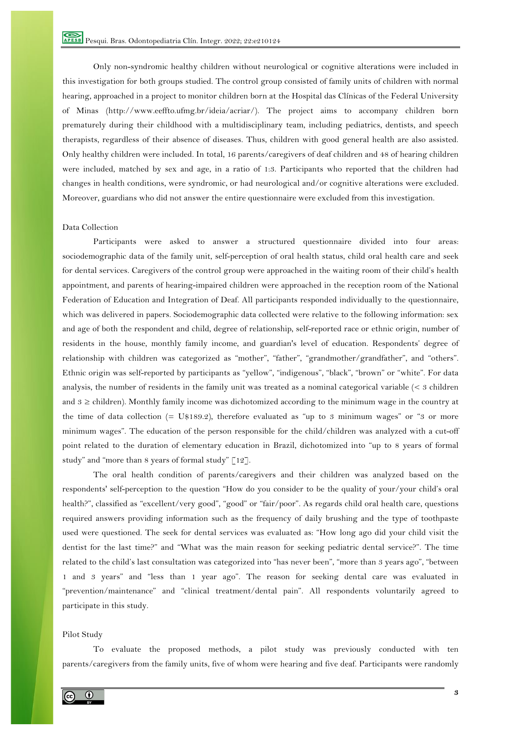Only non-syndromic healthy children without neurological or cognitive alterations were included in this investigation for both groups studied. The control group consisted of family units of children with normal hearing, approached in a project to monitor children born at the Hospital das Clínicas of the Federal University of Minas (http://www.eeffto.ufmg.br/ideia/acriar/). The project aims to accompany children born prematurely during their childhood with a multidisciplinary team, including pediatrics, dentists, and speech therapists, regardless of their absence of diseases. Thus, children with good general health are also assisted. Only healthy children were included. In total, 16 parents/caregivers of deaf children and 48 of hearing children were included, matched by sex and age, in a ratio of 1:3. Participants who reported that the children had changes in health conditions, were syndromic, or had neurological and/or cognitive alterations were excluded. Moreover, guardians who did not answer the entire questionnaire were excluded from this investigation.

# Data Collection

Participants were asked to answer a structured questionnaire divided into four areas: sociodemographic data of the family unit, self-perception of oral health status, child oral health care and seek for dental services. Caregivers of the control group were approached in the waiting room of their child's health appointment, and parents of hearing-impaired children were approached in the reception room of the National Federation of Education and Integration of Deaf. All participants responded individually to the questionnaire, which was delivered in papers. Sociodemographic data collected were relative to the following information: sex and age of both the respondent and child, degree of relationship, self-reported race or ethnic origin, number of residents in the house, monthly family income, and guardian's level of education. Respondents' degree of relationship with children was categorized as "mother", "father", "grandmother/grandfather", and "others". Ethnic origin was self-reported by participants as "yellow", "indigenous", "black", "brown" or "white". For data analysis, the number of residents in the family unit was treated as a nominal categorical variable (< 3 children and  $3 \geq$  children). Monthly family income was dichotomized according to the minimum wage in the country at the time of data collection (= U\$189.2), therefore evaluated as "up to 3 minimum wages" or "3 or more minimum wages". The education of the person responsible for the child/children was analyzed with a cut-off point related to the duration of elementary education in Brazil, dichotomized into "up to 8 years of formal study" and "more than 8 years of formal study" [12].

The oral health condition of parents/caregivers and their children was analyzed based on the respondents' self-perception to the question "How do you consider to be the quality of your/your child's oral health?", classified as "excellent/very good", "good" or "fair/poor". As regards child oral health care, questions required answers providing information such as the frequency of daily brushing and the type of toothpaste used were questioned. The seek for dental services was evaluated as: "How long ago did your child visit the dentist for the last time?" and "What was the main reason for seeking pediatric dental service?". The time related to the child's last consultation was categorized into "has never been", "more than 3 years ago", "between 1 and 3 years" and "less than 1 year ago". The reason for seeking dental care was evaluated in "prevention/maintenance" and "clinical treatment/dental pain". All respondents voluntarily agreed to participate in this study.

# Pilot Study

To evaluate the proposed methods, a pilot study was previously conducted with ten parents/caregivers from the family units, five of whom were hearing and five deaf. Participants were randomly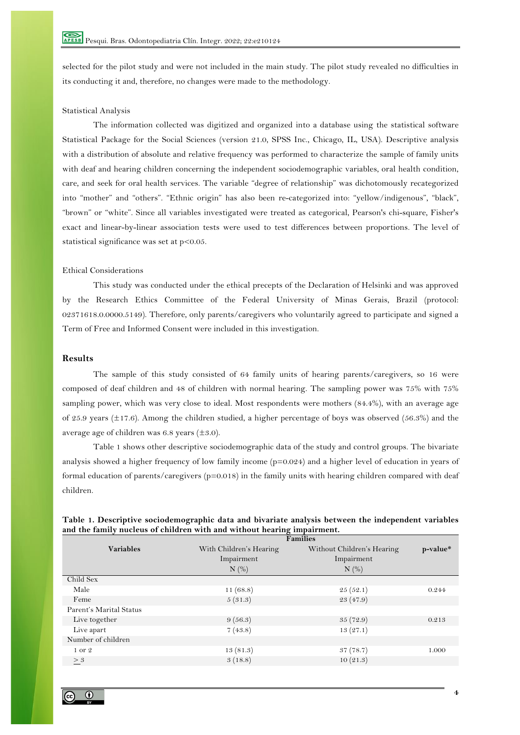selected for the pilot study and were not included in the main study. The pilot study revealed no difficulties in its conducting it and, therefore, no changes were made to the methodology.

# Statistical Analysis

The information collected was digitized and organized into a database using the statistical software Statistical Package for the Social Sciences (version 21.0, SPSS Inc., Chicago, IL, USA). Descriptive analysis with a distribution of absolute and relative frequency was performed to characterize the sample of family units with deaf and hearing children concerning the independent sociodemographic variables, oral health condition, care, and seek for oral health services. The variable "degree of relationship" was dichotomously recategorized into "mother" and "others". "Ethnic origin" has also been re-categorized into: "yellow/indigenous", "black", "brown" or "white". Since all variables investigated were treated as categorical, Pearson's chi-square, Fisher's exact and linear-by-linear association tests were used to test differences between proportions. The level of statistical significance was set at  $p<0.05$ .

# Ethical Considerations

This study was conducted under the ethical precepts of the Declaration of Helsinki and was approved by the Research Ethics Committee of the Federal University of Minas Gerais, Brazil (protocol: 02371618.0.0000.5149). Therefore, only parents/caregivers who voluntarily agreed to participate and signed a Term of Free and Informed Consent were included in this investigation.

# **Results**

The sample of this study consisted of 64 family units of hearing parents/caregivers, so 16 were composed of deaf children and 48 of children with normal hearing. The sampling power was 75% with 75% sampling power, which was very close to ideal. Most respondents were mothers (84.4%), with an average age of 25.9 years ( $\pm$ 17.6). Among the children studied, a higher percentage of boys was observed (56.3%) and the average age of children was 6.8 years  $(\pm 3.0)$ .

Table 1 shows other descriptive sociodemographic data of the study and control groups. The bivariate analysis showed a higher frequency of low family income (p=0.024) and a higher level of education in years of formal education of parents/caregivers ( $p=0.018$ ) in the family units with hearing children compared with deaf children.

|                                   | <b>Families</b>         |                            |          |
|-----------------------------------|-------------------------|----------------------------|----------|
| <b>Variables</b>                  | With Children's Hearing | Without Children's Hearing | p-value* |
|                                   | Impairment              | Impairment                 |          |
|                                   | $N$ (%)                 | $N$ $(\%)$                 |          |
| Child Sex                         |                         |                            |          |
| Male                              | 11(68.8)                | 25(52.1)                   | 0.244    |
| Feme                              | 5(31.3)                 | 23 (47.9)                  |          |
| Parent's Marital Status           |                         |                            |          |
| Live together                     | 9(56.3)                 | 35(72.9)                   | 0.213    |
| Live apart                        | 7(43.8)                 | 13(27.1)                   |          |
| Number of children                |                         |                            |          |
| 1 or 2                            | 13(81.3)                | 37(78.7)                   | 1.000    |
| $>$ $\ensuremath{\mathnormal{3}}$ | 3(18.8)                 | 10(21.3)                   |          |
|                                   |                         |                            |          |

| Table 1. Descriptive sociodemographic data and bivariate analysis between the independent variables |  |
|-----------------------------------------------------------------------------------------------------|--|
| and the family nucleus of children with and without hearing impairment.                             |  |

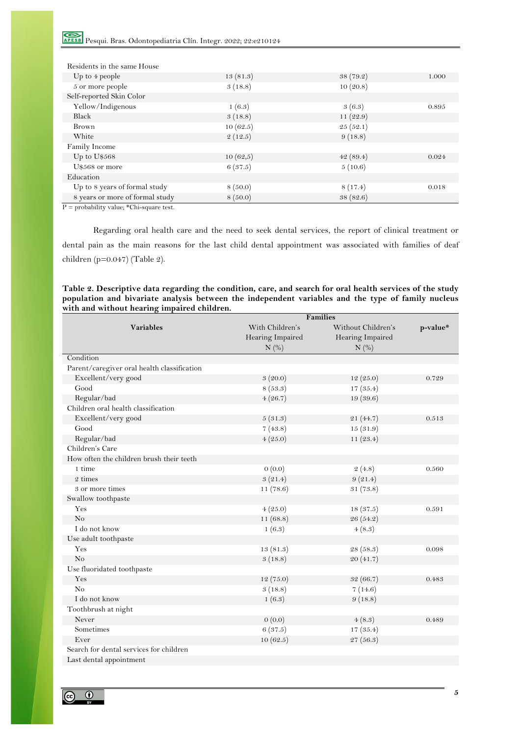| Residents in the same House                                                                                                                                                                                                                                                                                                                         |          |          |       |
|-----------------------------------------------------------------------------------------------------------------------------------------------------------------------------------------------------------------------------------------------------------------------------------------------------------------------------------------------------|----------|----------|-------|
| Up to $4$ people                                                                                                                                                                                                                                                                                                                                    | 13(81.3) | 38(79.2) | 1.000 |
| 5 or more people                                                                                                                                                                                                                                                                                                                                    | 3(18.8)  | 10(20.8) |       |
| Self-reported Skin Color                                                                                                                                                                                                                                                                                                                            |          |          |       |
| Yellow/Indigenous                                                                                                                                                                                                                                                                                                                                   | 1(6.3)   | 3(6.3)   | 0.895 |
| Black                                                                                                                                                                                                                                                                                                                                               | 3(18.8)  | 11(22.9) |       |
| Brown                                                                                                                                                                                                                                                                                                                                               | 10(62.5) | 25(52.1) |       |
| White                                                                                                                                                                                                                                                                                                                                               | 2(12.5)  | 9(18.8)  |       |
| Family Income                                                                                                                                                                                                                                                                                                                                       |          |          |       |
| Up to $U$568$                                                                                                                                                                                                                                                                                                                                       | 10(62,5) | 42(89.4) | 0.024 |
| U\$568 or more                                                                                                                                                                                                                                                                                                                                      | 6(37.5)  | 5(10.6)  |       |
| Education                                                                                                                                                                                                                                                                                                                                           |          |          |       |
| Up to 8 years of formal study                                                                                                                                                                                                                                                                                                                       | 8(50.0)  | 8(17.4)  | 0.018 |
| 8 years or more of formal study                                                                                                                                                                                                                                                                                                                     | 8(50.0)  | 38(82.6) |       |
| $\overline{a}$ , $\overline{a}$ , $\overline{a}$ , $\overline{a}$ , $\overline{a}$ , $\overline{a}$ , $\overline{a}$ , $\overline{a}$ , $\overline{a}$ , $\overline{a}$ , $\overline{a}$ , $\overline{a}$ , $\overline{a}$ , $\overline{a}$ , $\overline{a}$ , $\overline{a}$ , $\overline{a}$ , $\overline{a}$ , $\overline{a}$ , $\overline{a}$ , |          |          |       |

 $P =$  probability value; \*Chi-square test.

Regarding oral health care and the need to seek dental services, the report of clinical treatment or dental pain as the main reasons for the last child dental appointment was associated with families of deaf children (p=0.047) (Table 2).

| Table 2. Descriptive data regarding the condition, care, and search for oral health services of the study |  |
|-----------------------------------------------------------------------------------------------------------|--|
| population and bivariate analysis between the independent variables and the type of family nucleus        |  |
| with and without hearing impaired children.                                                               |  |

|                                             | <b>Families</b>  |                    |          |
|---------------------------------------------|------------------|--------------------|----------|
| <b>Variables</b>                            | With Children's  | Without Children's | p-value* |
|                                             | Hearing Impaired | Hearing Impaired   |          |
|                                             | N(%)             | N(%)               |          |
| Condition                                   |                  |                    |          |
| Parent/caregiver oral health classification |                  |                    |          |
| Excellent/very good                         | 3(20.0)          | 12(25.0)           | 0.729    |
| Good                                        | 8(53.3)          | 17(35.4)           |          |
| Regular/bad                                 | 4(26.7)          | 19(39.6)           |          |
| Children oral health classification         |                  |                    |          |
| Excellent/very good                         | 5(31.3)          | 21(44.7)           | 0.513    |
| Good                                        | 7(43.8)          | 15(31.9)           |          |
| Regular/bad                                 | 4(25.0)          | 11(23.4)           |          |
| Children's Care                             |                  |                    |          |
| How often the children brush their teeth    |                  |                    |          |
| 1 time                                      | 0(0.0)           | 2(4.8)             | 0.560    |
| 2 times                                     | 3(21.4)          | 9(21.4)            |          |
| 3 or more times                             | 11(78.6)         | 31(73.8)           |          |
| Swallow toothpaste                          |                  |                    |          |
| Yes                                         | 4(25.0)          | 18(37.5)           | 0.591    |
| No                                          | 11(68.8)         | 26(54.2)           |          |
| I do not know                               | 1(6.3)           | 4(8.3)             |          |
| Use adult toothpaste                        |                  |                    |          |
| Yes                                         | 13(81.3)         | 28 (58.3)          | 0.098    |
| No                                          | 3(18.8)          | 20(41.7)           |          |
| Use fluoridated toothpaste                  |                  |                    |          |
| Yes                                         | 12(75.0)         | 32(66.7)           | 0.483    |
| No                                          | 3(18.8)          | 7(14.6)            |          |
| I do not know                               | 1(6.3)           | 9(18.8)            |          |
| Toothbrush at night                         |                  |                    |          |
| Never                                       | 0(0.0)           | 4(8.3)             | 0.489    |
| Sometimes                                   | 6(37.5)          | 17(35.4)           |          |
| Ever                                        | 10(62.5)         | 27(56.3)           |          |
| Search for dental services for children     |                  |                    |          |
| Last dental appointment                     |                  |                    |          |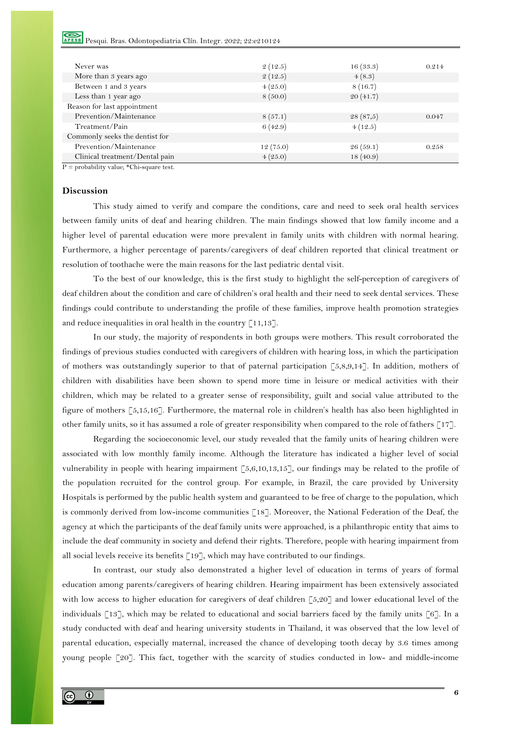# Pesqui. Bras. Odontopediatria Clín. Integr. 2022; 22:e210124

| Never was                      | 2(12.5)  | 16(33.3) | 0.214 |
|--------------------------------|----------|----------|-------|
| More than 3 years ago          | 2(12.5)  | 4(8.3)   |       |
| Between 1 and 3 years          | 4(25.0)  | 8(16.7)  |       |
| Less than 1 year ago           | 8(50.0)  | 20(41.7) |       |
| Reason for last appointment    |          |          |       |
| Prevention/Maintenance         | 8(57.1)  | 28(87,5) | 0.047 |
| Treatment/Pain                 | 6(42.9)  | 4(12.5)  |       |
| Commonly seeks the dentist for |          |          |       |
| Prevention/Maintenance         | 12(75.0) | 26(59.1) | 0.258 |
| Clinical treatment/Dental pain | 4(25.0)  | 18(40.9) |       |

 $P =$  probability value; \*Chi-square test.

### **Discussion**

This study aimed to verify and compare the conditions, care and need to seek oral health services between family units of deaf and hearing children. The main findings showed that low family income and a higher level of parental education were more prevalent in family units with children with normal hearing. Furthermore, a higher percentage of parents/caregivers of deaf children reported that clinical treatment or resolution of toothache were the main reasons for the last pediatric dental visit.

To the best of our knowledge, this is the first study to highlight the self-perception of caregivers of deaf children about the condition and care of children's oral health and their need to seek dental services. These findings could contribute to understanding the profile of these families, improve health promotion strategies and reduce inequalities in oral health in the country  $\lceil 11,13 \rceil$ .

In our study, the majority of respondents in both groups were mothers. This result corroborated the findings of previous studies conducted with caregivers of children with hearing loss, in which the participation of mothers was outstandingly superior to that of paternal participation [5,8,9,14]. In addition, mothers of children with disabilities have been shown to spend more time in leisure or medical activities with their children, which may be related to a greater sense of responsibility, guilt and social value attributed to the figure of mothers [5,15,16]. Furthermore, the maternal role in children's health has also been highlighted in other family units, so it has assumed a role of greater responsibility when compared to the role of fathers [17].

Regarding the socioeconomic level, our study revealed that the family units of hearing children were associated with low monthly family income. Although the literature has indicated a higher level of social vulnerability in people with hearing impairment [5,6,10,13,15], our findings may be related to the profile of the population recruited for the control group. For example, in Brazil, the care provided by University Hospitals is performed by the public health system and guaranteed to be free of charge to the population, which is commonly derived from low-income communities [18]. Moreover, the National Federation of the Deaf, the agency at which the participants of the deaf family units were approached, is a philanthropic entity that aims to include the deaf community in society and defend their rights. Therefore, people with hearing impairment from all social levels receive its benefits [19], which may have contributed to our findings.

In contrast, our study also demonstrated a higher level of education in terms of years of formal education among parents/caregivers of hearing children. Hearing impairment has been extensively associated with low access to higher education for caregivers of deaf children [5,20] and lower educational level of the individuals [13], which may be related to educational and social barriers faced by the family units [6]. In a study conducted with deaf and hearing university students in Thailand, it was observed that the low level of parental education, especially maternal, increased the chance of developing tooth decay by 3.6 times among young people [20]. This fact, together with the scarcity of studies conducted in low- and middle-income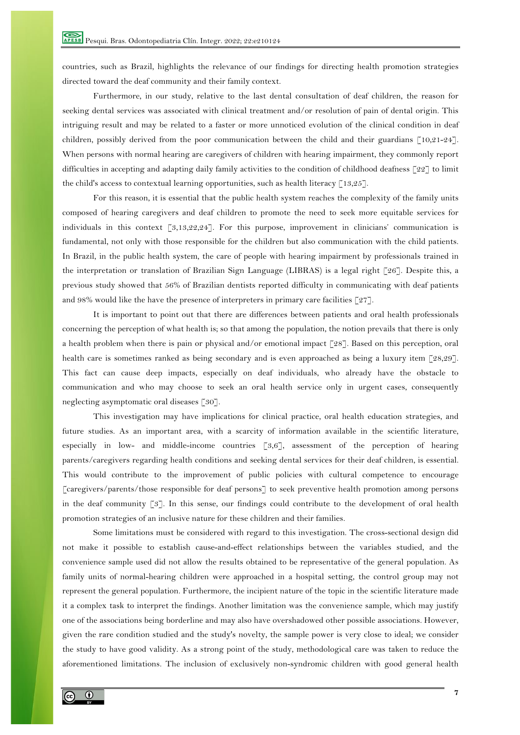countries, such as Brazil, highlights the relevance of our findings for directing health promotion strategies directed toward the deaf community and their family context.

Furthermore, in our study, relative to the last dental consultation of deaf children, the reason for seeking dental services was associated with clinical treatment and/or resolution of pain of dental origin. This intriguing result and may be related to a faster or more unnoticed evolution of the clinical condition in deaf children, possibly derived from the poor communication between the child and their guardians [10,21-24]. When persons with normal hearing are caregivers of children with hearing impairment, they commonly report difficulties in accepting and adapting daily family activities to the condition of childhood deafness [22] to limit the child's access to contextual learning opportunities, such as health literacy  $\lceil 13,25 \rceil$ .

For this reason, it is essential that the public health system reaches the complexity of the family units composed of hearing caregivers and deaf children to promote the need to seek more equitable services for individuals in this context [3,13,22,24]. For this purpose, improvement in clinicians' communication is fundamental, not only with those responsible for the children but also communication with the child patients. In Brazil, in the public health system, the care of people with hearing impairment by professionals trained in the interpretation or translation of Brazilian Sign Language (LIBRAS) is a legal right [26]. Despite this, a previous study showed that 56% of Brazilian dentists reported difficulty in communicating with deaf patients and 98% would like the have the presence of interpreters in primary care facilities [27].

It is important to point out that there are differences between patients and oral health professionals concerning the perception of what health is; so that among the population, the notion prevails that there is only a health problem when there is pain or physical and/or emotional impact [28]. Based on this perception, oral health care is sometimes ranked as being secondary and is even approached as being a luxury item [28,29]. This fact can cause deep impacts, especially on deaf individuals, who already have the obstacle to communication and who may choose to seek an oral health service only in urgent cases, consequently neglecting asymptomatic oral diseases [30].

This investigation may have implications for clinical practice, oral health education strategies, and future studies. As an important area, with a scarcity of information available in the scientific literature, especially in low- and middle-income countries [3,6], assessment of the perception of hearing parents/caregivers regarding health conditions and seeking dental services for their deaf children, is essential. This would contribute to the improvement of public policies with cultural competence to encourage [caregivers/parents/those responsible for deaf persons] to seek preventive health promotion among persons in the deaf community [3]. In this sense, our findings could contribute to the development of oral health promotion strategies of an inclusive nature for these children and their families.

Some limitations must be considered with regard to this investigation. The cross-sectional design did not make it possible to establish cause-and-effect relationships between the variables studied, and the convenience sample used did not allow the results obtained to be representative of the general population. As family units of normal-hearing children were approached in a hospital setting, the control group may not represent the general population. Furthermore, the incipient nature of the topic in the scientific literature made it a complex task to interpret the findings. Another limitation was the convenience sample, which may justify one of the associations being borderline and may also have overshadowed other possible associations. However, given the rare condition studied and the study's novelty, the sample power is very close to ideal; we consider the study to have good validity. As a strong point of the study, methodological care was taken to reduce the aforementioned limitations. The inclusion of exclusively non-syndromic children with good general health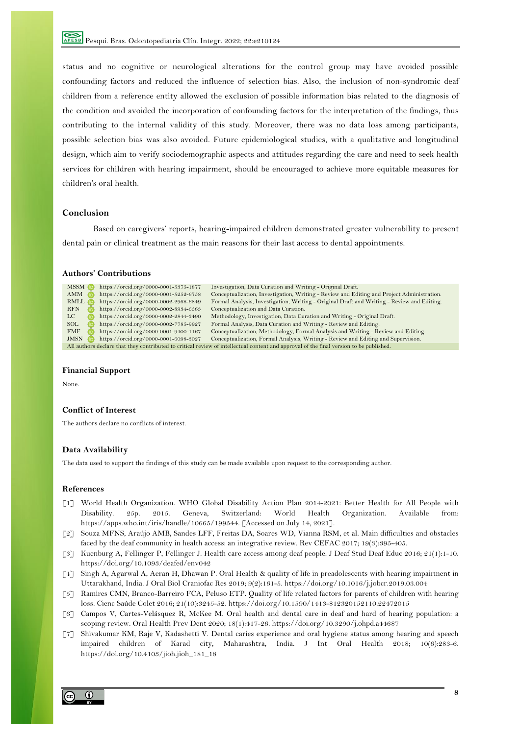status and no cognitive or neurological alterations for the control group may have avoided possible confounding factors and reduced the influence of selection bias. Also, the inclusion of non-syndromic deaf children from a reference entity allowed the exclusion of possible information bias related to the diagnosis of the condition and avoided the incorporation of confounding factors for the interpretation of the findings, thus contributing to the internal validity of this study. Moreover, there was no data loss among participants, possible selection bias was also avoided. Future epidemiological studies, with a qualitative and longitudinal design, which aim to verify sociodemographic aspects and attitudes regarding the care and need to seek health services for children with hearing impairment, should be encouraged to achieve more equitable measures for children's oral health.

# **Conclusion**

Based on caregivers' reports, hearing-impaired children demonstrated greater vulnerability to present dental pain or clinical treatment as the main reasons for their last access to dental appointments.

### **Authors' Contributions**

| <b>MSSM iD</b>                                                                                                                          | https://orcid.org/0000-0001-5375-1877 | Investigation, Data Curation and Writing - Original Draft.                                 |
|-----------------------------------------------------------------------------------------------------------------------------------------|---------------------------------------|--------------------------------------------------------------------------------------------|
| AMM<br>(iD)                                                                                                                             | https://orcid.org/0000-0001-5252-6758 | Conceptualization, Investigation, Writing - Review and Editing and Project Administration. |
| $RMLL$ ( $\bar{D}$ )                                                                                                                    | https://orcid.org/0000-0002-2968-6849 | Formal Analysis, Investigation, Writing - Original Draft and Writing - Review and Editing. |
| <b>RFN</b>                                                                                                                              | https://orcid.org/0000-0002-8934-6563 | Conceptualization and Data Curation.                                                       |
| LC –                                                                                                                                    | https://orcid.org/0000-0002-2844-3490 | Methodology, Investigation, Data Curation and Writing - Original Draft.                    |
| SOL.                                                                                                                                    | https://orcid.org/0000-0002-7785-9927 | Formal Analysis, Data Curation and Writing - Review and Editing.                           |
| <b>FMF</b>                                                                                                                              | https://orcid.org/0000-0001-9400-1167 | Conceptualization, Methodology, Formal Analysis and Writing - Review and Editing.          |
| JMSN<br>(iD)                                                                                                                            | https://orcid.org/0000-0001-6098-3027 | Conceptualization, Formal Analysis, Writing - Review and Editing and Supervision.          |
| All authors declare that they contributed to critical review of intellectual content and approval of the final version to be published. |                                       |                                                                                            |

## **Financial Support**

None.

# **Conflict of Interest**

The authors declare no conflicts of interest.

### **Data Availability**

The data used to support the findings of this study can be made available upon request to the corresponding author.

#### **References**

- [1] World Health Organization. WHO Global Disability Action Plan 2014-2021: Better Health for All People with Disability. 25p. 2015. Geneva, Switzerland: World Health Organization. Available from: https://apps.who.int/iris/handle/10665/199544. [Accessed on July 14, 2021].
- [2] Souza MFNS, Araújo AMB, Sandes LFF, Freitas DA, Soares WD, Vianna RSM, et al. Main difficulties and obstacles faced by the deaf community in health access: an integrative review. Rev CEFAC 2017; 19(3):395-405.
- [3] Kuenburg A, Fellinger P, Fellinger J. Health care access among deaf people. J Deaf Stud Deaf Educ 2016; 21(1):1-10. https://doi.org/10.1093/deafed/env042
- [4] Singh A, Agarwal A, Aeran H, Dhawan P. Oral Health & quality of life in preadolescents with hearing impairment in Uttarakhand, India. J Oral Biol Craniofac Res 2019; 9(2):161-5. https://doi.org/10.1016/j.jobcr.2019.03.004
- [5] Ramires CMN, Branco-Barreiro FCA, Peluso ETP. Quality of life related factors for parents of children with hearing loss. Cienc Saúde Colet 2016; 21(10):3245-52. https://doi.org/10.1590/1413-812320152110.22472015
- [6] Campos V, Cartes-Velásquez R, McKee M. Oral health and dental care in deaf and hard of hearing population: a scoping review. Oral Health Prev Dent 2020; 18(1):417-26. https://doi.org/10.3290/j.ohpd.a44687
- [7] Shivakumar KM, Raje V, Kadashetti V. Dental caries experience and oral hygiene status among hearing and speech impaired children of Karad city, Maharashtra, India. J Int Oral Health 2018; 10(6):283-6. https://doi.org/10.4103/jioh.jioh\_181\_18